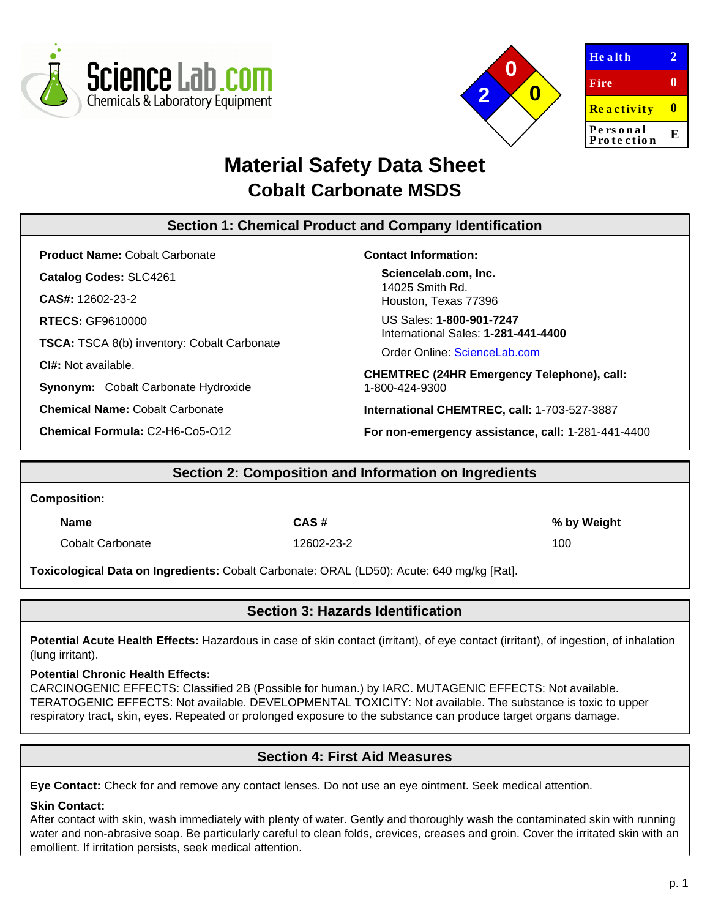



| <b>Health</b>          |    |
|------------------------|----|
| Fire                   | o  |
| <b>Reactivity</b>      |    |
| Personal<br>Protection | F. |
|                        |    |

# **Material Safety Data Sheet Cobalt Carbonate MSDS**

# **Section 1: Chemical Product and Company Identification**

**Product Name:** Cobalt Carbonate

**Catalog Codes:** SLC4261

**CAS#:** 12602-23-2

**RTECS:** GF9610000

**TSCA:** TSCA 8(b) inventory: Cobalt Carbonate

**CI#:** Not available.

**Synonym:** Cobalt Carbonate Hydroxide

**Chemical Name:** Cobalt Carbonate

**Chemical Formula:** C2-H6-Co5-O12

### **Contact Information:**

**Sciencelab.com, Inc.** 14025 Smith Rd. Houston, Texas 77396

US Sales: **1-800-901-7247** International Sales: **1-281-441-4400**

Order Online: [ScienceLab.com](http://www.sciencelab.com/)

**CHEMTREC (24HR Emergency Telephone), call:** 1-800-424-9300

**International CHEMTREC, call:** 1-703-527-3887

**For non-emergency assistance, call:** 1-281-441-4400

# **Section 2: Composition and Information on Ingredients Composition: Name**  $\begin{array}{c|c}\n\hline\n\text{Name} & \text{S} \\
\hline\n\end{array}$  CAS # Cobalt Carbonate 12602-23-2 100 **Toxicological Data on Ingredients:** Cobalt Carbonate: ORAL (LD50): Acute: 640 mg/kg [Rat].

# **Section 3: Hazards Identification**

**Potential Acute Health Effects:** Hazardous in case of skin contact (irritant), of eye contact (irritant), of ingestion, of inhalation (lung irritant).

## **Potential Chronic Health Effects:**

CARCINOGENIC EFFECTS: Classified 2B (Possible for human.) by IARC. MUTAGENIC EFFECTS: Not available. TERATOGENIC EFFECTS: Not available. DEVELOPMENTAL TOXICITY: Not available. The substance is toxic to upper respiratory tract, skin, eyes. Repeated or prolonged exposure to the substance can produce target organs damage.

# **Section 4: First Aid Measures**

**Eye Contact:** Check for and remove any contact lenses. Do not use an eye ointment. Seek medical attention.

## **Skin Contact:**

After contact with skin, wash immediately with plenty of water. Gently and thoroughly wash the contaminated skin with running water and non-abrasive soap. Be particularly careful to clean folds, crevices, creases and groin. Cover the irritated skin with an emollient. If irritation persists, seek medical attention.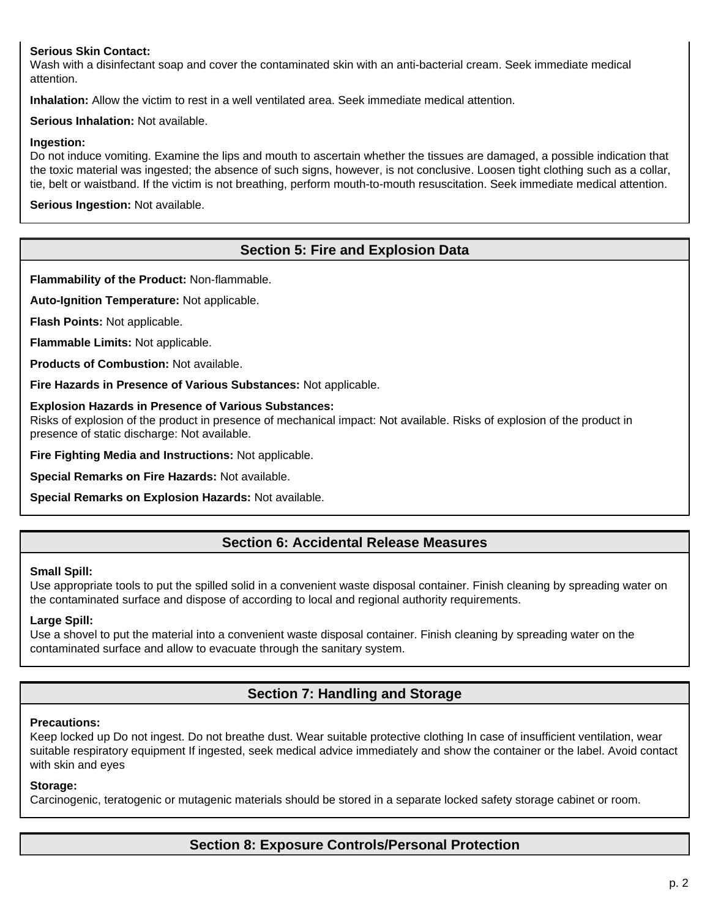### **Serious Skin Contact:**

Wash with a disinfectant soap and cover the contaminated skin with an anti-bacterial cream. Seek immediate medical attention.

**Inhalation:** Allow the victim to rest in a well ventilated area. Seek immediate medical attention.

**Serious Inhalation:** Not available.

#### **Ingestion:**

Do not induce vomiting. Examine the lips and mouth to ascertain whether the tissues are damaged, a possible indication that the toxic material was ingested; the absence of such signs, however, is not conclusive. Loosen tight clothing such as a collar, tie, belt or waistband. If the victim is not breathing, perform mouth-to-mouth resuscitation. Seek immediate medical attention.

**Serious Ingestion:** Not available.

# **Section 5: Fire and Explosion Data**

**Flammability of the Product:** Non-flammable.

**Auto-Ignition Temperature:** Not applicable.

**Flash Points:** Not applicable.

**Flammable Limits:** Not applicable.

**Products of Combustion:** Not available.

**Fire Hazards in Presence of Various Substances:** Not applicable.

#### **Explosion Hazards in Presence of Various Substances:**

Risks of explosion of the product in presence of mechanical impact: Not available. Risks of explosion of the product in presence of static discharge: Not available.

**Fire Fighting Media and Instructions:** Not applicable.

**Special Remarks on Fire Hazards:** Not available.

**Special Remarks on Explosion Hazards:** Not available.

## **Section 6: Accidental Release Measures**

#### **Small Spill:**

Use appropriate tools to put the spilled solid in a convenient waste disposal container. Finish cleaning by spreading water on the contaminated surface and dispose of according to local and regional authority requirements.

#### **Large Spill:**

Use a shovel to put the material into a convenient waste disposal container. Finish cleaning by spreading water on the contaminated surface and allow to evacuate through the sanitary system.

# **Section 7: Handling and Storage**

#### **Precautions:**

Keep locked up Do not ingest. Do not breathe dust. Wear suitable protective clothing In case of insufficient ventilation, wear suitable respiratory equipment If ingested, seek medical advice immediately and show the container or the label. Avoid contact with skin and eyes

#### **Storage:**

Carcinogenic, teratogenic or mutagenic materials should be stored in a separate locked safety storage cabinet or room.

# **Section 8: Exposure Controls/Personal Protection**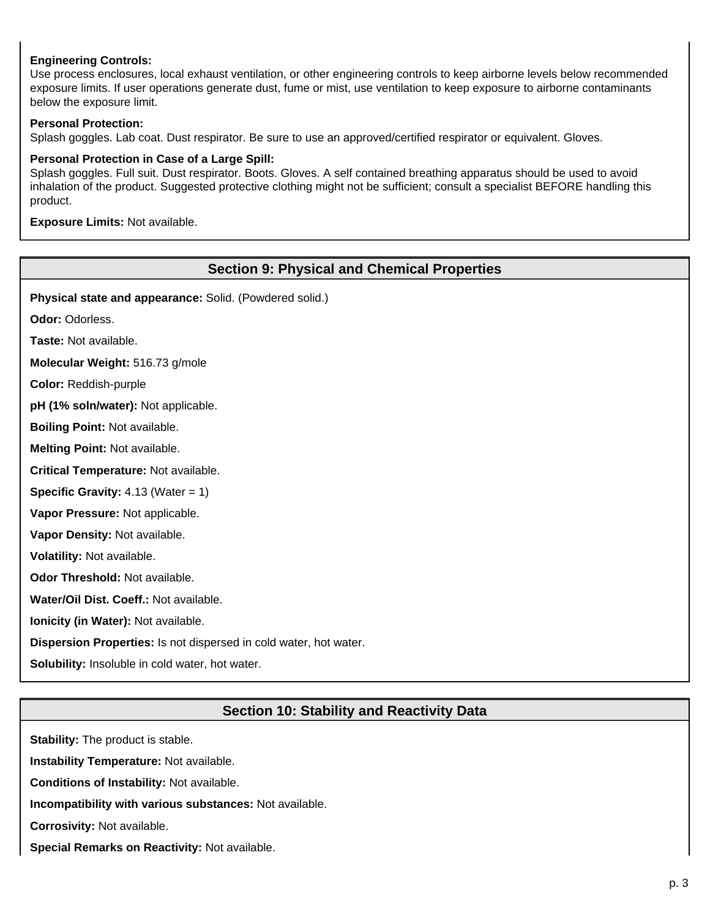### **Engineering Controls:**

Use process enclosures, local exhaust ventilation, or other engineering controls to keep airborne levels below recommended exposure limits. If user operations generate dust, fume or mist, use ventilation to keep exposure to airborne contaminants below the exposure limit.

#### **Personal Protection:**

Splash goggles. Lab coat. Dust respirator. Be sure to use an approved/certified respirator or equivalent. Gloves.

#### **Personal Protection in Case of a Large Spill:**

Splash goggles. Full suit. Dust respirator. Boots. Gloves. A self contained breathing apparatus should be used to avoid inhalation of the product. Suggested protective clothing might not be sufficient; consult a specialist BEFORE handling this product.

**Exposure Limits:** Not available.

#### **Section 9: Physical and Chemical Properties**

**Physical state and appearance:** Solid. (Powdered solid.)

**Odor:** Odorless.

**Taste:** Not available.

**Molecular Weight:** 516.73 g/mole

**Color:** Reddish-purple

**pH (1% soln/water):** Not applicable.

**Boiling Point:** Not available.

**Melting Point:** Not available.

**Critical Temperature:** Not available.

**Specific Gravity:** 4.13 (Water = 1)

**Vapor Pressure:** Not applicable.

**Vapor Density:** Not available.

**Volatility:** Not available.

**Odor Threshold:** Not available.

**Water/Oil Dist. Coeff.:** Not available.

**Ionicity (in Water):** Not available.

**Dispersion Properties:** Is not dispersed in cold water, hot water.

**Solubility:** Insoluble in cold water, hot water.

# **Section 10: Stability and Reactivity Data**

**Stability:** The product is stable. **Instability Temperature:** Not available. **Conditions of Instability:** Not available. **Incompatibility with various substances:** Not available. **Corrosivity:** Not available. **Special Remarks on Reactivity:** Not available.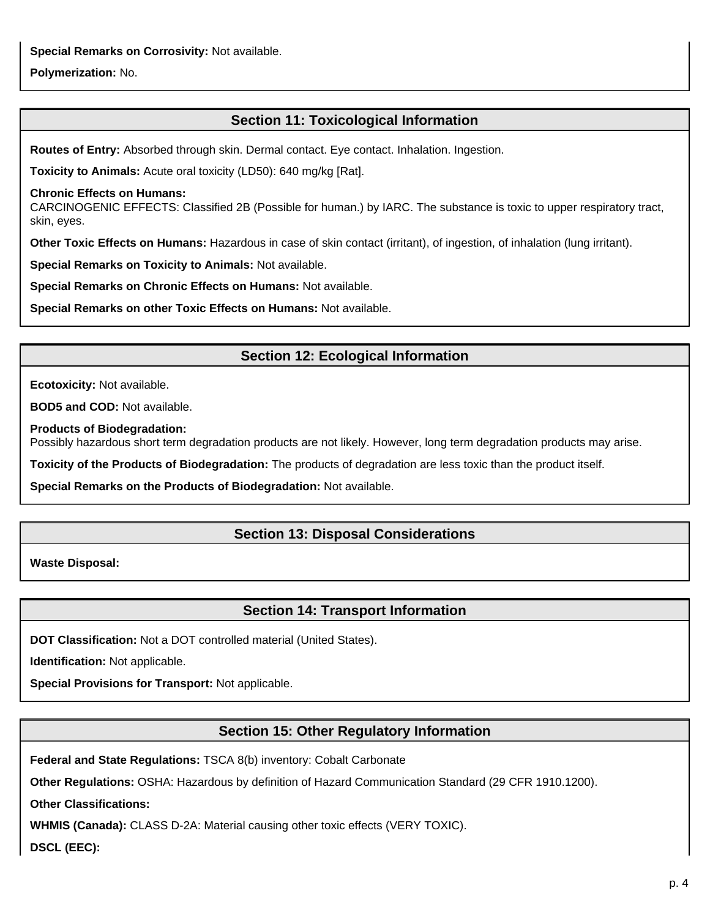**Special Remarks on Corrosivity:** Not available.

### **Polymerization:** No.

# **Section 11: Toxicological Information**

**Routes of Entry:** Absorbed through skin. Dermal contact. Eye contact. Inhalation. Ingestion.

**Toxicity to Animals:** Acute oral toxicity (LD50): 640 mg/kg [Rat].

#### **Chronic Effects on Humans:**

CARCINOGENIC EFFECTS: Classified 2B (Possible for human.) by IARC. The substance is toxic to upper respiratory tract, skin, eyes.

**Other Toxic Effects on Humans:** Hazardous in case of skin contact (irritant), of ingestion, of inhalation (lung irritant).

**Special Remarks on Toxicity to Animals:** Not available.

**Special Remarks on Chronic Effects on Humans:** Not available.

**Special Remarks on other Toxic Effects on Humans:** Not available.

# **Section 12: Ecological Information**

**Ecotoxicity:** Not available.

**BOD5 and COD:** Not available.

**Products of Biodegradation:**

Possibly hazardous short term degradation products are not likely. However, long term degradation products may arise.

**Toxicity of the Products of Biodegradation:** The products of degradation are less toxic than the product itself.

**Special Remarks on the Products of Biodegradation:** Not available.

# **Section 13: Disposal Considerations**

**Waste Disposal:**

# **Section 14: Transport Information**

**DOT Classification:** Not a DOT controlled material (United States).

**Identification:** Not applicable.

**Special Provisions for Transport:** Not applicable.

# **Section 15: Other Regulatory Information**

**Federal and State Regulations:** TSCA 8(b) inventory: Cobalt Carbonate

**Other Regulations:** OSHA: Hazardous by definition of Hazard Communication Standard (29 CFR 1910.1200).

**Other Classifications:**

**WHMIS (Canada):** CLASS D-2A: Material causing other toxic effects (VERY TOXIC).

**DSCL (EEC):**